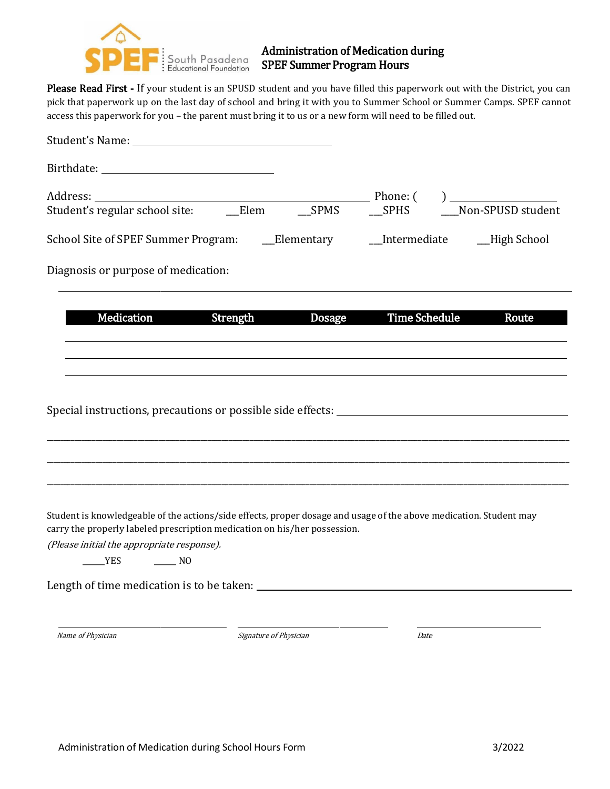

### Administration of Medication during SPEF Summer Program Hours

Please Read First - If your student is an SPUSD student and you have filled this paperwork out with the District, you can pick that paperwork up on the last day of school and bring it with you to Summer School or Summer Camps. SPEF cannot access this paperwork for you – the parent must bring it to us or a new form will need to be filled out.

| Student's Name: Name and Student's Name and Student's Name and Student's Name and Students and Students and Students                                                                            |               |                         |                                                   |
|-------------------------------------------------------------------------------------------------------------------------------------------------------------------------------------------------|---------------|-------------------------|---------------------------------------------------|
|                                                                                                                                                                                                 |               |                         |                                                   |
| Address: ____________________________Elem<br>Student's regular school site: _______Elem                                                                                                         | $\_SPMS$      | Phone: (<br><b>SPHS</b> | $) \underline{\hspace{1cm}}$<br>Non-SPUSD student |
|                                                                                                                                                                                                 |               |                         |                                                   |
|                                                                                                                                                                                                 |               | Intermediate            | _High School                                      |
| Diagnosis or purpose of medication:                                                                                                                                                             |               |                         |                                                   |
| <b>Medication</b><br>Strength                                                                                                                                                                   | <b>Dosage</b> | <b>Time Schedule</b>    | Route                                             |
|                                                                                                                                                                                                 |               |                         |                                                   |
|                                                                                                                                                                                                 |               |                         |                                                   |
| Special instructions, precautions or possible side effects:                                                                                                                                     |               |                         |                                                   |
|                                                                                                                                                                                                 |               |                         |                                                   |
|                                                                                                                                                                                                 |               |                         |                                                   |
|                                                                                                                                                                                                 |               |                         |                                                   |
| Student is knowledgeable of the actions/side effects, proper dosage and usage of the above medication. Student may<br>carry the properly labeled prescription medication on his/her possession. |               |                         |                                                   |
| (Please initial the appropriate response).                                                                                                                                                      |               |                         |                                                   |
| <b>EXAMPLE</b><br>$\sim$ NO                                                                                                                                                                     |               |                         |                                                   |
|                                                                                                                                                                                                 |               |                         |                                                   |
|                                                                                                                                                                                                 |               |                         |                                                   |
|                                                                                                                                                                                                 |               |                         |                                                   |

Name of Physician and Date of Physician Date Date Date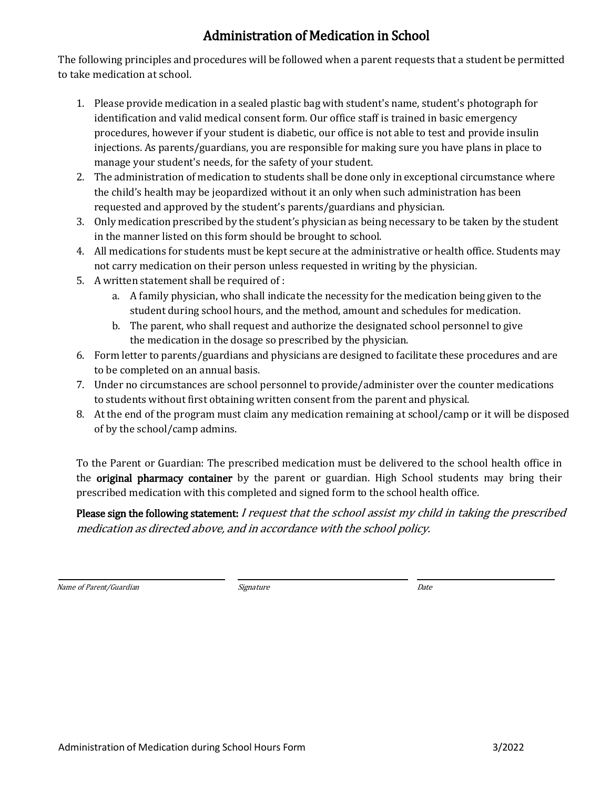## Administration of Medication in School

The following principles and procedures will be followed when a parent requests that a student be permitted to take medication at school.

- 1. Please provide medication in a sealed plastic bag with student's name, student's photograph for identification and valid medical consent form. Our office staff is trained in basic emergency procedures, however if your student is diabetic, our office is not able to test and provide insulin injections. As parents/guardians, you are responsible for making sure you have plans in place to manage your student's needs, for the safety of your student.
- 2. The administration of medication to students shall be done only in exceptional circumstance where the child's health may be jeopardized without it an only when such administration has been requested and approved by the student's parents/guardians and physician.
- 3. Only medication prescribed by the student's physician as being necessary to be taken by the student in the manner listed on this form should be brought to school.
- 4. All medications for students must be kept secure at the administrative or health office. Students may not carry medication on their person unless requested in writing by the physician.
- 5. A written statement shall be required of :
	- a. A family physician, who shall indicate the necessity for the medication being given to the student during school hours, and the method, amount and schedules for medication.
	- b. The parent, who shall request and authorize the designated school personnel to give the medication in the dosage so prescribed by the physician.
- 6. Form letter to parents/guardians and physicians are designed to facilitate these procedures and are to be completed on an annual basis.
- 7. Under no circumstances are school personnel to provide/administer over the counter medications to students without first obtaining written consent from the parent and physical.
- 8. At the end of the program must claim any medication remaining at school/camp or it will be disposed of by the school/camp admins.

To the Parent or Guardian: The prescribed medication must be delivered to the school health office in the original pharmacy container by the parent or guardian. High School students may bring their prescribed medication with this completed and signed form to the school health office.

Please sign the following statement: I request that the school assist my child in taking the prescribed medication as directed above, and in accordance with the school policy.

Name of Parent/Guardian and the Community of the Signature of Parent/Guardian and Date